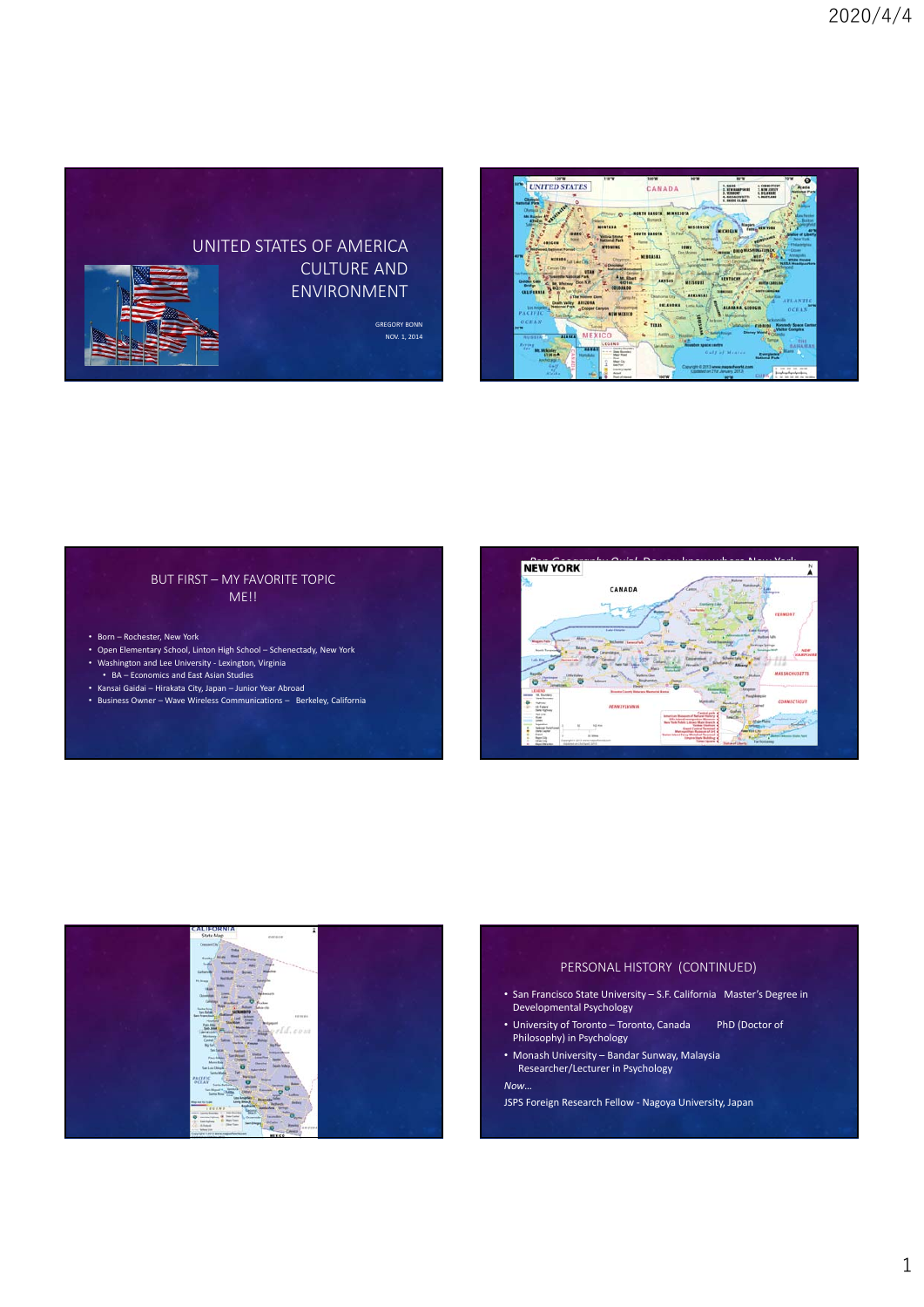# UNITED STATES OF AMERICA CULTURE AND ENVIRONMENT

GREGORY BONN NOV. 1, 2014





- Born Rochester, New York
- Open Elementary School, Linton High School Schenectady, New York •<br>Washington and Lee University - Lexington, Virginia
- BA Economics and East Asian Studies
- Kansai Gaidai Hirakata City, Japan Junior Year Abroad
- Business Owner Wave Wireless Communications Berkeley, California



CANADA

UNITED STATES





#### PERSONAL HISTORY (CONTINUED)

- San Francisco State University S.F. California Master's Degree in Developmental Psychology
- University of Toronto Toronto, Canada PhD (Doctor of Philosophy) in Psychology
- Monash University Bandar Sunway, Malaysia Researcher/Lecturer in Psychology

#### *Now…*

JSPS Foreign Research Fellow ‐ Nagoya University, Japan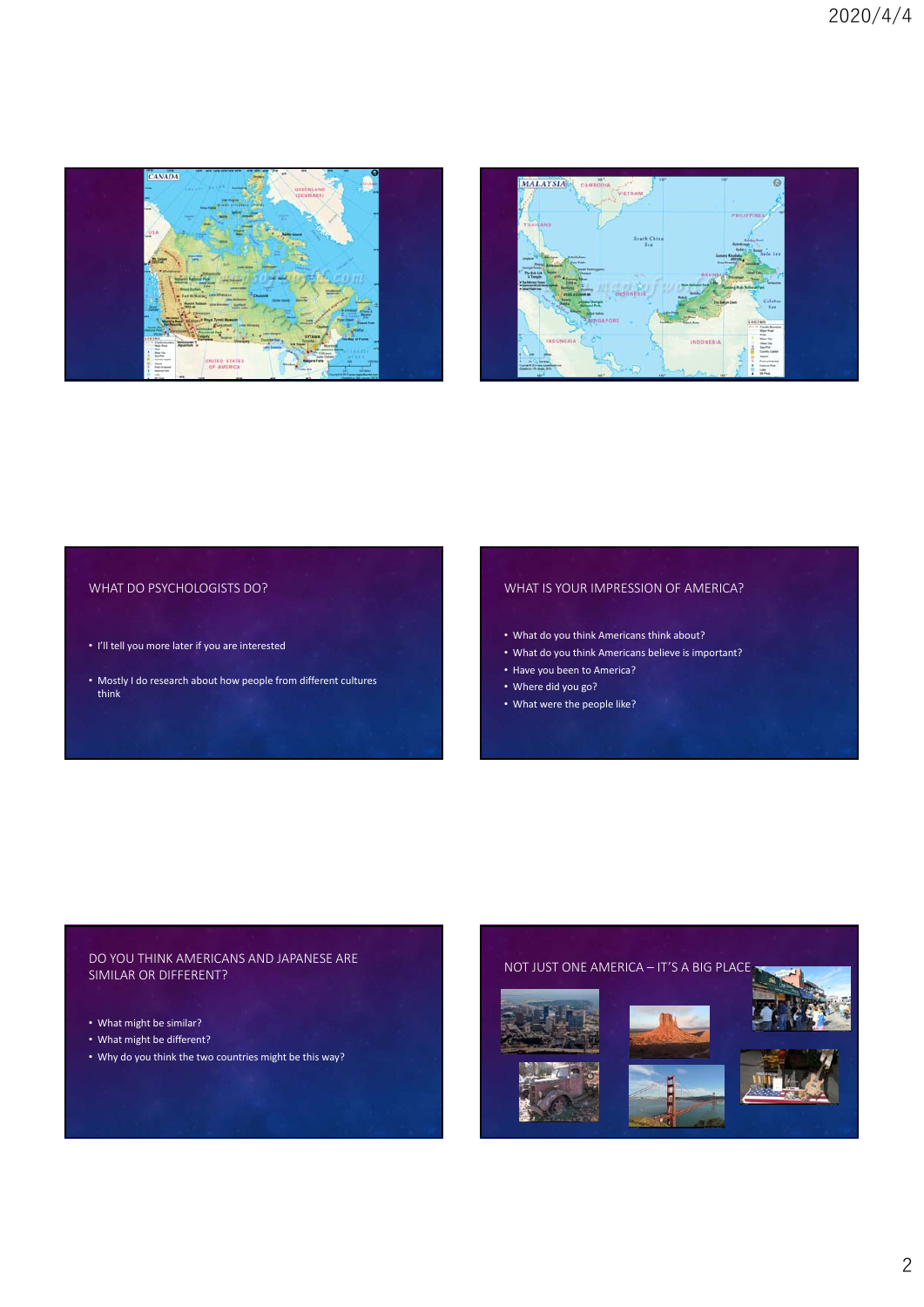



# WHAT DO PSYCHOLOGISTS DO?

- I'll tell you more later if you are interested
- Mostly I do research about how people from different cultures think

# WHAT IS YOUR IMPRESSION OF AMERICA?

- What do you think Americans think about?
- What do you think Americans believe is important?
- Have you been to America?
- Where did you go?
- What were the people like?

## DO YOU THINK AMERICANS AND JAPANESE ARE SIMILAR OR DIFFERENT?

- What might be similar?
- What might be different?
- Why do you think the two countries might be this way?

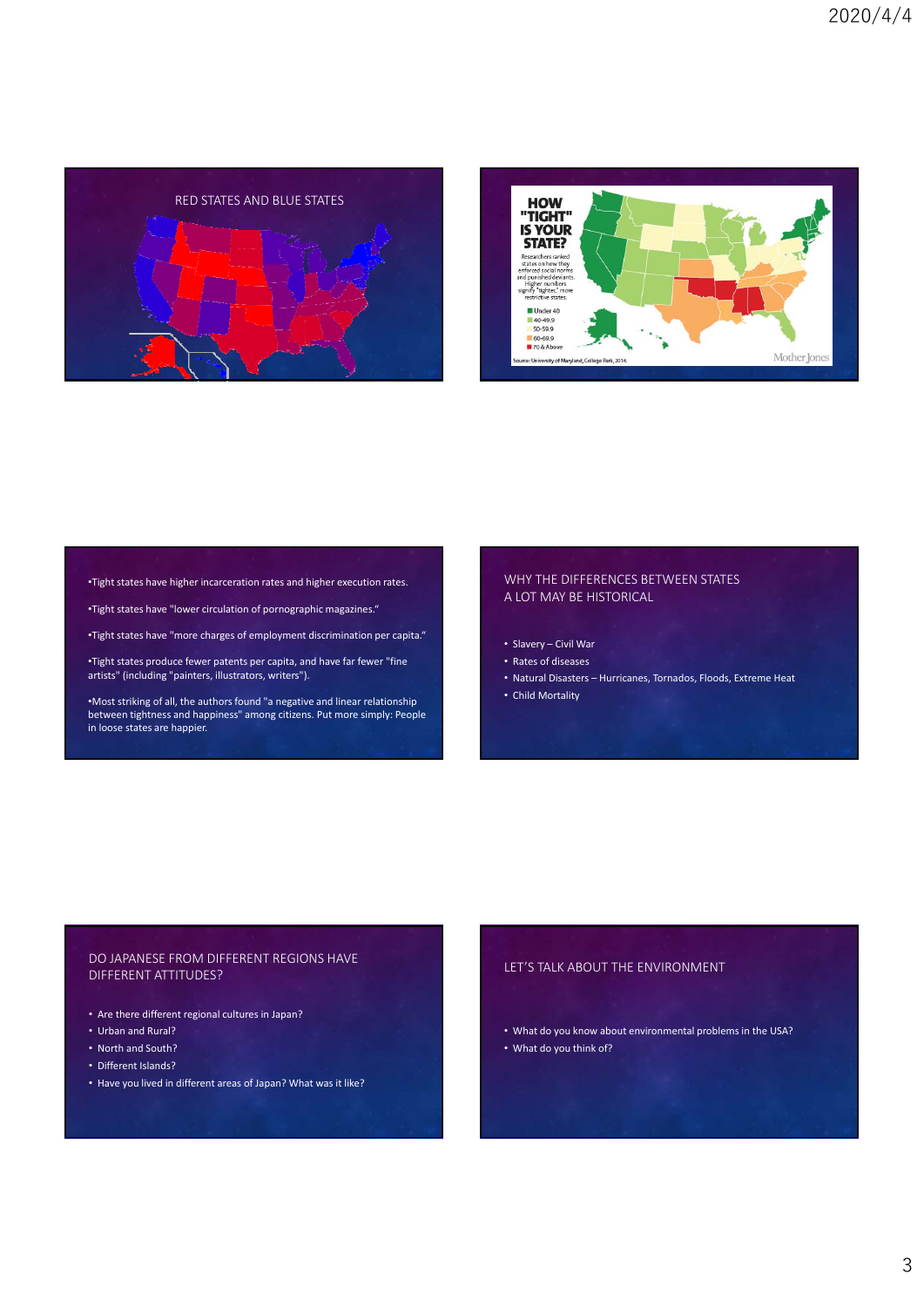



•Tight states have higher incarceration rates and higher execution rates.

•Tight states have "lower circulation of pornographic magazines."

•Tight states have "more charges of employment discrimination per capita."

•Tight states produce fewer patents per capita, and have far fewer "fine artists" (including "painters, illustrators, writers").

•Most striking of all, the authors found "a negative and linear relationship between tightness and happiness" among citizens. Put more simply: People in loose states are happier.

#### WHY THE DIFFERENCES BETWEEN STATES A LOT MAY BE HISTORICAL

- Slavery Civil War
- Rates of diseases
- Natural Disasters Hurricanes, Tornados, Floods, Extreme Heat
- Child Mortality

### DO JAPANESE FROM DIFFERENT REGIONS HAVE DIFFERENT ATTITUDES?

- Are there different regional cultures in Japan?
- Urban and Rural?
- North and South?
- Different Islands?
- Have you lived in different areas of Japan? What was it like?

#### LET'S TALK ABOUT THE ENVIRONMENT

- What do you know about environmental problems in the USA?
- What do you think of?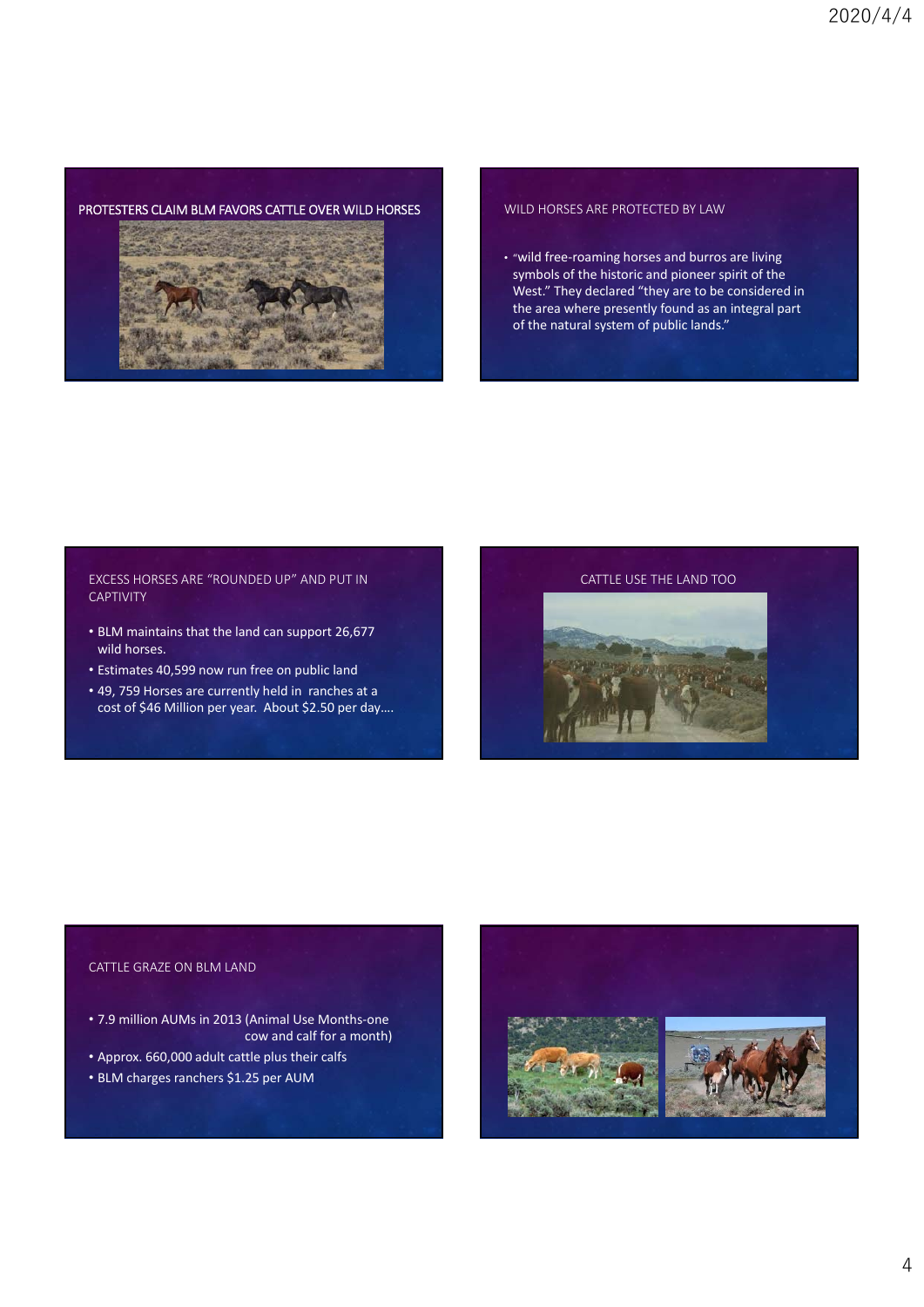# PROTESTERS CLAIM BLM FAVORS CATTLE OVER WILD HORSES WILD HORSES ARE PROTECTED BY LAW



• "wild free‐roaming horses and burros are living symbols of the historic and pioneer spirit of the West." They declared "they are to be considered in the area where presently found as an integral part of the natural system of public lands."

## EXCESS HORSES ARE "ROUNDED UP" AND PUT IN **CAPTIVITY**

- BLM maintains that the land can support 26,677 wild horses.
- Estimates 40,599 now run free on public land
- 49, 759 Horses are currently held in ranches at a cost of \$46 Million per year. About \$2.50 per day….



# CATTLE GRAZE ON BLM LAND

- 7.9 million AUMs in 2013 (Animal Use Months‐one cow and calf for a month)
- Approx. 660,000 adult cattle plus their calfs
- BLM charges ranchers \$1.25 per AUM

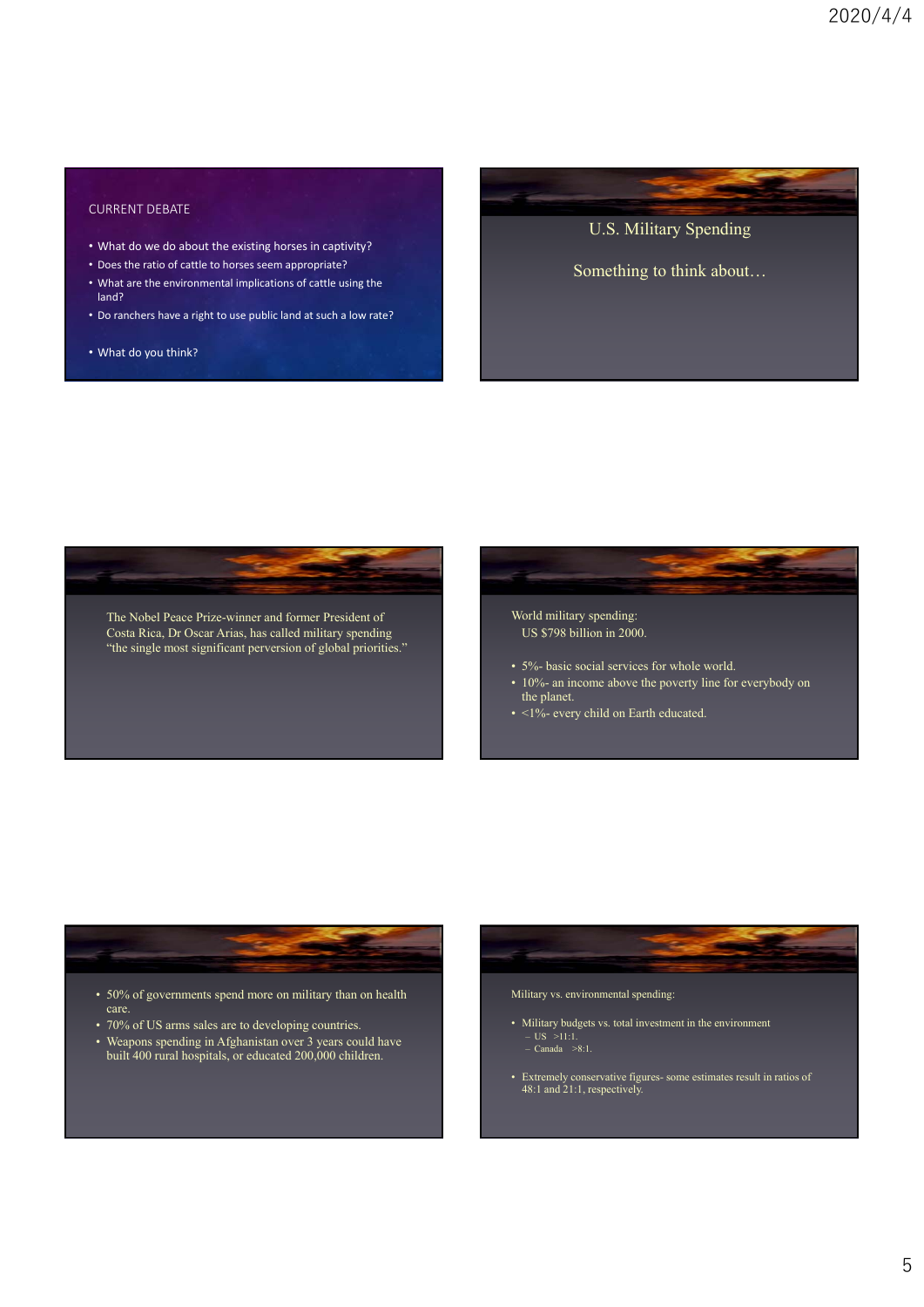# CURRENT DEBATE

- What do we do about the existing horses in captivity?
- Does the ratio of cattle to horses seem appropriate?
- What are the environmental implications of cattle using the land?
- Do ranchers have a right to use public land at such a low rate?
- What do you think?

U.S. Military Spending

Something to think about…





- 5%- basic social services for whole world.
- 10%- an income above the poverty line for everybody on the planet.
- <1%- every child on Earth educated.



- 70% of US arms sales are to developing countries.
- Weapons spending in Afghanistan over 3 years could have built 400 rural hospitals, or educated 200,000 children.



- Military budgets vs. total investment in the environment  $-$  US  $>11:1$ .  $-$  Canada  $>8:1$ .
- Extremely conservative figures- some estimates result in ratios of 48:1 and 21:1, respectively.